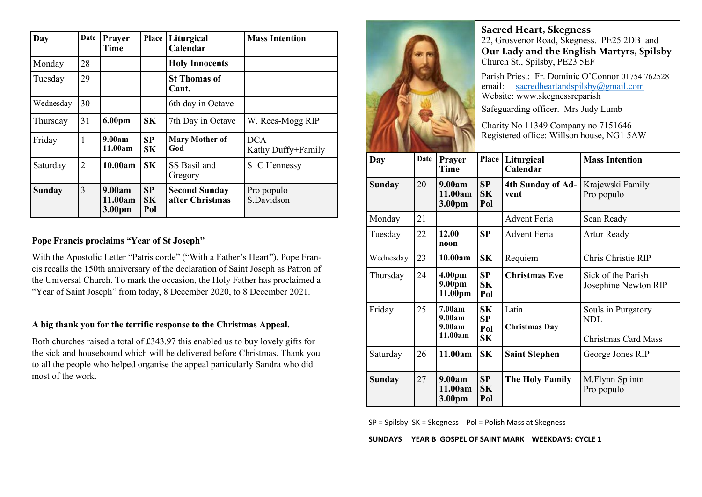| Day           | Date           | Prayer<br>Time              | Place                  | Liturgical<br>Calendar                  | <b>Mass Intention</b>            |
|---------------|----------------|-----------------------------|------------------------|-----------------------------------------|----------------------------------|
| Monday        | 28             |                             |                        | <b>Holy Innocents</b>                   |                                  |
| Tuesday       | 29             |                             |                        | <b>St Thomas of</b><br>Cant.            |                                  |
| Wednesday     | 30             |                             |                        | 6th day in Octave                       |                                  |
| Thursday      | 31             | 6.00pm                      | SK                     | 7th Day in Octave                       | W. Rees-Mogg RIP                 |
| Friday        | 1              | 9.00am<br>11.00am           | SP<br>SK               | <b>Mary Mother of</b><br>God            | <b>DCA</b><br>Kathy Duffy+Family |
| Saturday      | $\overline{2}$ | 10.00am                     | SK                     | SS Basil and<br>Gregory                 | S+C Hennessy                     |
| <b>Sunday</b> | $\overline{3}$ | 9.00am<br>11.00am<br>3.00pm | SP<br><b>SK</b><br>Pol | <b>Second Sunday</b><br>after Christmas | Pro populo<br>S.Davidson         |

#### **Pope Francis proclaims "Year of St Joseph"**

With the Apostolic Letter "Patris corde" ("With a Father's Heart"), Pope Francis recalls the 150th anniversary of the declaration of Saint Joseph as Patron of the Universal Church. To mark the occasion, the Holy Father has proclaimed a "Year of Saint Joseph" from today, 8 December 2020, to 8 December 2021.

#### **A big thank you for the terrific response to the Christmas Appeal.**

Both churches raised a total of £343.97 this enabled us to buy lovely gifts for the sick and housebound which will be delivered before Christmas. Thank you to all the people who helped organise the appeal particularly Sandra who did most of the work.



**Sacred Heart, Skegness**  22, Grosvenor Road, Skegness. PE25 2DB and **Our Lady and the English Martyrs, Spilsby** Church St., Spilsby, PE23 5EF

Parish Priest: Fr. Dominic O'Connor 01754 762528 email: sacredheartandspilsby@gmail.com Website: www.skegnessrcparish

Safeguarding officer. Mrs Judy Lumb

Charity No 11349 Company no 7151646 Registered office: Willson house, NG1 5AW

| Day           | Date | Prayer<br><b>Time</b>                   | Place                  | Liturgical<br>Calendar        | <b>Mass Intention</b>                                          |
|---------------|------|-----------------------------------------|------------------------|-------------------------------|----------------------------------------------------------------|
| Sunday        | 20   | 9.00am<br>11.00am<br>3.00pm             | SP<br><b>SK</b><br>Pol | 4th Sunday of Ad-<br>vent     | Krajewski Family<br>Pro populo                                 |
| Monday        | 21   |                                         |                        | <b>Advent Feria</b>           | Sean Ready                                                     |
| Tuesday       | 22   | 12.00<br>noon                           | SP                     | <b>Advent Feria</b>           | <b>Artur Ready</b>                                             |
| Wednesday     | 23   | 10.00am                                 | <b>SK</b>              | Requiem                       | Chris Christie RIP                                             |
| Thursday      | 24   | 4.00pm<br>9.00 <sub>pm</sub><br>11.00pm | SP<br>SK<br>Pol        | <b>Christmas Eve</b>          | Sick of the Parish<br>Josephine Newton RIP                     |
| Friday        | 25   | 7.00am<br>9.00am<br>9.00am<br>11.00am   | SK<br>SP<br>Pol<br>SK  | Latin<br><b>Christmas Day</b> | Souls in Purgatory<br><b>NDL</b><br><b>Christmas Card Mass</b> |
| Saturday      | 26   | 11.00am                                 | S <sub>K</sub>         | <b>Saint Stephen</b>          | George Jones RIP                                               |
| <b>Sunday</b> | 27   | 9.00am<br>11.00am<br>3.00pm             | SP<br>SK<br>Pol        | The Holy Family               | M.Flynn Sp intn<br>Pro populo                                  |

SP = Spilsby SK = Skegness Pol = Polish Mass at Skegness

#### **SUNDAYS YEAR B GOSPEL OF SAINT MARK WEEKDAYS: CYCLE 1**